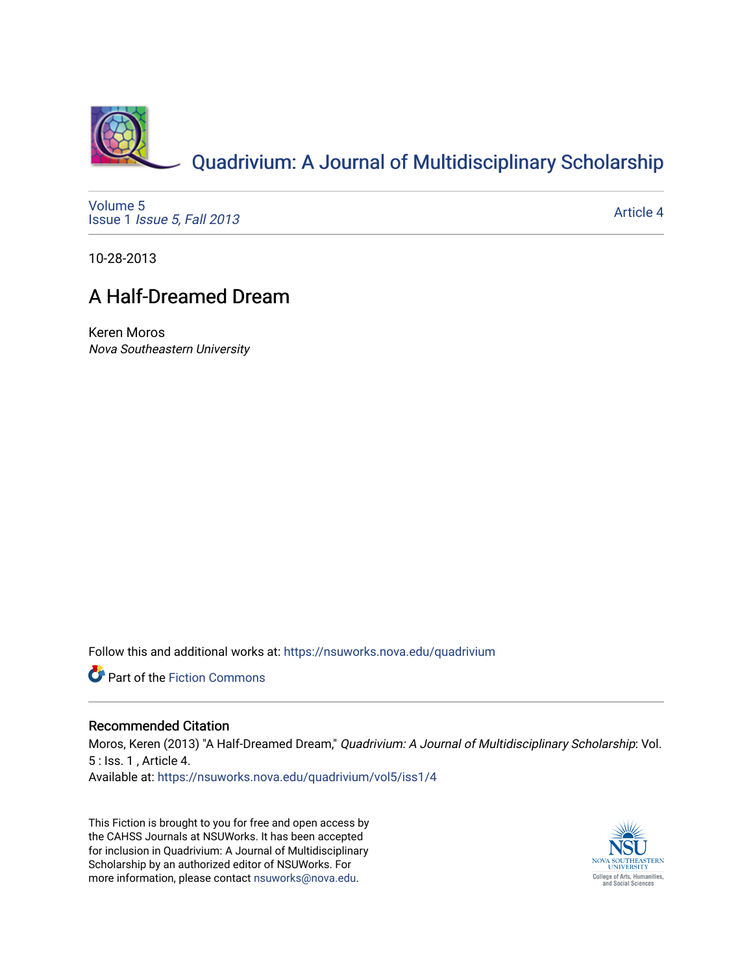

[Volume 5](https://nsuworks.nova.edu/quadrivium/vol5) Issue 1 [Issue 5, Fall 2013](https://nsuworks.nova.edu/quadrivium/vol5/iss1) 

[Article 4](https://nsuworks.nova.edu/quadrivium/vol5/iss1/4) 

10-28-2013

## A Half-Dreamed Dream

Keren Moros Nova Southeastern University

Follow this and additional works at: [https://nsuworks.nova.edu/quadrivium](https://nsuworks.nova.edu/quadrivium?utm_source=nsuworks.nova.edu%2Fquadrivium%2Fvol5%2Fiss1%2F4&utm_medium=PDF&utm_campaign=PDFCoverPages)

Part of the [Fiction Commons](http://network.bepress.com/hgg/discipline/1151?utm_source=nsuworks.nova.edu%2Fquadrivium%2Fvol5%2Fiss1%2F4&utm_medium=PDF&utm_campaign=PDFCoverPages) 

## Recommended Citation

Moros, Keren (2013) "A Half-Dreamed Dream," Quadrivium: A Journal of Multidisciplinary Scholarship: Vol. 5 : Iss. 1 , Article 4. Available at: [https://nsuworks.nova.edu/quadrivium/vol5/iss1/4](https://nsuworks.nova.edu/quadrivium/vol5/iss1/4?utm_source=nsuworks.nova.edu%2Fquadrivium%2Fvol5%2Fiss1%2F4&utm_medium=PDF&utm_campaign=PDFCoverPages)

This Fiction is brought to you for free and open access by the CAHSS Journals at NSUWorks. It has been accepted for inclusion in Quadrivium: A Journal of Multidisciplinary Scholarship by an authorized editor of NSUWorks. For more information, please contact [nsuworks@nova.edu.](mailto:nsuworks@nova.edu)

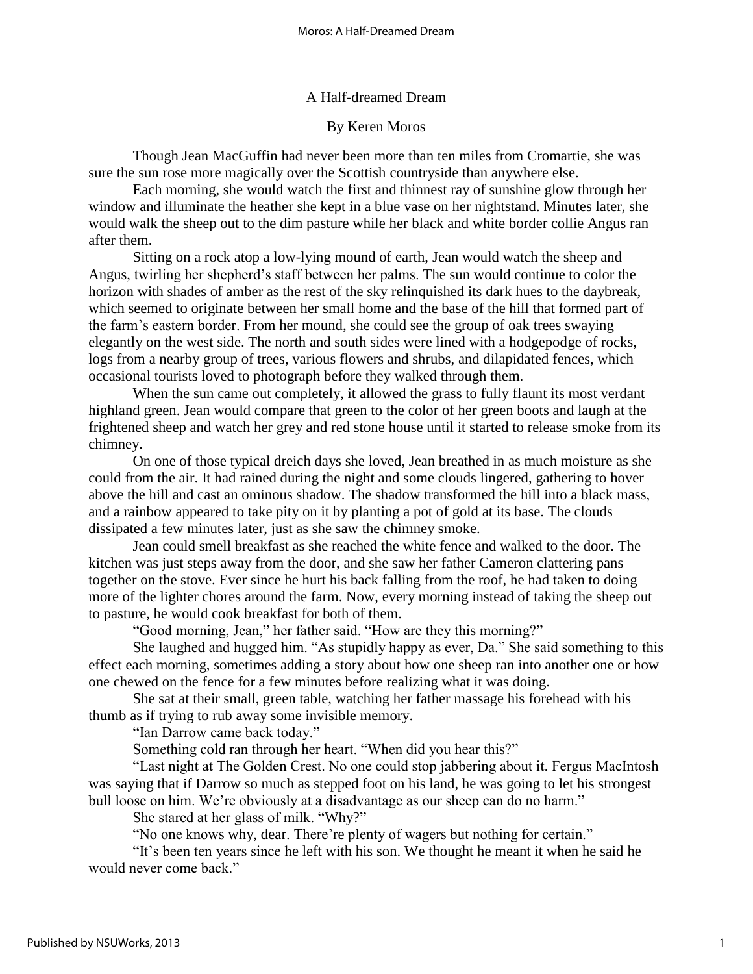A Half-dreamed Dream

By Keren Moros

Though Jean MacGuffin had never been more than ten miles from Cromartie, she was sure the sun rose more magically over the Scottish countryside than anywhere else.

Each morning, she would watch the first and thinnest ray of sunshine glow through her window and illuminate the heather she kept in a blue vase on her nightstand. Minutes later, she would walk the sheep out to the dim pasture while her black and white border collie Angus ran after them.

Sitting on a rock atop a low-lying mound of earth, Jean would watch the sheep and Angus, twirling her shepherd's staff between her palms. The sun would continue to color the horizon with shades of amber as the rest of the sky relinquished its dark hues to the daybreak, which seemed to originate between her small home and the base of the hill that formed part of the farm's eastern border. From her mound, she could see the group of oak trees swaying elegantly on the west side. The north and south sides were lined with a hodgepodge of rocks, logs from a nearby group of trees, various flowers and shrubs, and dilapidated fences, which occasional tourists loved to photograph before they walked through them.

When the sun came out completely, it allowed the grass to fully flaunt its most verdant highland green. Jean would compare that green to the color of her green boots and laugh at the frightened sheep and watch her grey and red stone house until it started to release smoke from its chimney.

On one of those typical dreich days she loved, Jean breathed in as much moisture as she could from the air. It had rained during the night and some clouds lingered, gathering to hover above the hill and cast an ominous shadow. The shadow transformed the hill into a black mass, and a rainbow appeared to take pity on it by planting a pot of gold at its base. The clouds dissipated a few minutes later, just as she saw the chimney smoke.

Jean could smell breakfast as she reached the white fence and walked to the door. The kitchen was just steps away from the door, and she saw her father Cameron clattering pans together on the stove. Ever since he hurt his back falling from the roof, he had taken to doing more of the lighter chores around the farm. Now, every morning instead of taking the sheep out to pasture, he would cook breakfast for both of them.

"Good morning, Jean," her father said. "How are they this morning?"

She laughed and hugged him. "As stupidly happy as ever, Da." She said something to this effect each morning, sometimes adding a story about how one sheep ran into another one or how one chewed on the fence for a few minutes before realizing what it was doing.

She sat at their small, green table, watching her father massage his forehead with his thumb as if trying to rub away some invisible memory.

"Ian Darrow came back today."

Something cold ran through her heart. "When did you hear this?"

"Last night at The Golden Crest. No one could stop jabbering about it. Fergus MacIntosh was saying that if Darrow so much as stepped foot on his land, he was going to let his strongest bull loose on him. We're obviously at a disadvantage as our sheep can do no harm."

She stared at her glass of milk. "Why?"

"No one knows why, dear. There're plenty of wagers but nothing for certain."

"It's been ten years since he left with his son. We thought he meant it when he said he would never come back."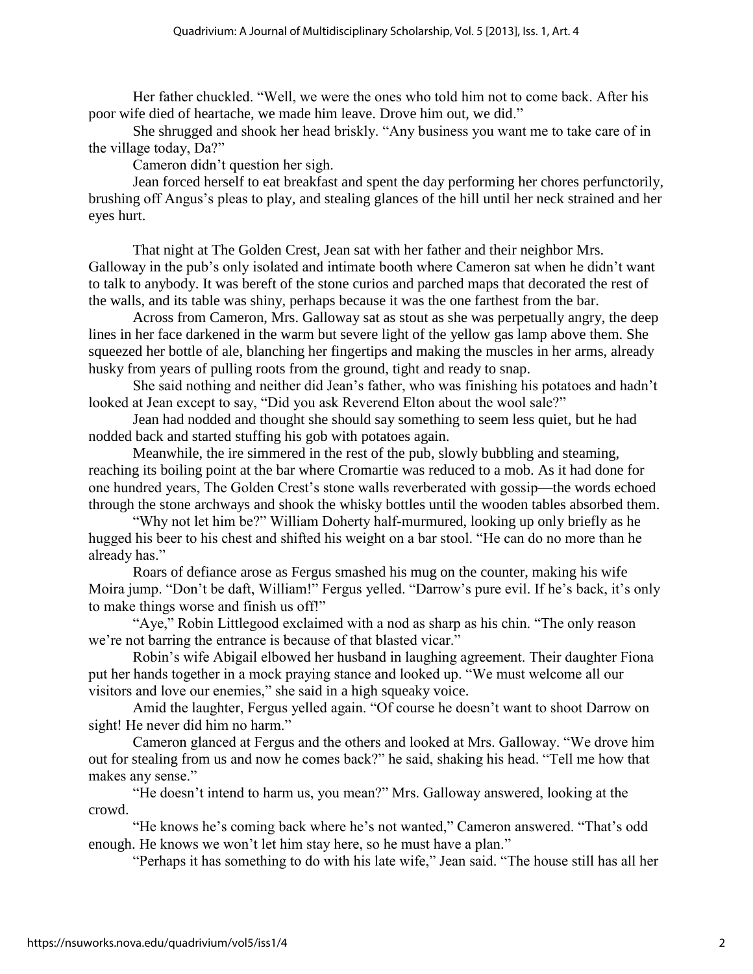Her father chuckled. "Well, we were the ones who told him not to come back. After his poor wife died of heartache, we made him leave. Drove him out, we did."

She shrugged and shook her head briskly. "Any business you want me to take care of in the village today, Da?"

Cameron didn't question her sigh.

Jean forced herself to eat breakfast and spent the day performing her chores perfunctorily, brushing off Angus's pleas to play, and stealing glances of the hill until her neck strained and her eyes hurt.

That night at The Golden Crest, Jean sat with her father and their neighbor Mrs. Galloway in the pub's only isolated and intimate booth where Cameron sat when he didn't want to talk to anybody. It was bereft of the stone curios and parched maps that decorated the rest of the walls, and its table was shiny, perhaps because it was the one farthest from the bar.

Across from Cameron, Mrs. Galloway sat as stout as she was perpetually angry, the deep lines in her face darkened in the warm but severe light of the yellow gas lamp above them. She squeezed her bottle of ale, blanching her fingertips and making the muscles in her arms, already husky from years of pulling roots from the ground, tight and ready to snap.

She said nothing and neither did Jean's father, who was finishing his potatoes and hadn't looked at Jean except to say, "Did you ask Reverend Elton about the wool sale?"

Jean had nodded and thought she should say something to seem less quiet, but he had nodded back and started stuffing his gob with potatoes again.

Meanwhile, the ire simmered in the rest of the pub, slowly bubbling and steaming, reaching its boiling point at the bar where Cromartie was reduced to a mob. As it had done for one hundred years, The Golden Crest's stone walls reverberated with gossip—the words echoed through the stone archways and shook the whisky bottles until the wooden tables absorbed them.

"Why not let him be?" William Doherty half-murmured, looking up only briefly as he hugged his beer to his chest and shifted his weight on a bar stool. "He can do no more than he already has."

Roars of defiance arose as Fergus smashed his mug on the counter, making his wife Moira jump. "Don't be daft, William!" Fergus yelled. "Darrow's pure evil. If he's back, it's only to make things worse and finish us off!"

"Aye," Robin Littlegood exclaimed with a nod as sharp as his chin. "The only reason we're not barring the entrance is because of that blasted vicar."

Robin's wife Abigail elbowed her husband in laughing agreement. Their daughter Fiona put her hands together in a mock praying stance and looked up. "We must welcome all our visitors and love our enemies," she said in a high squeaky voice.

Amid the laughter, Fergus yelled again. "Of course he doesn't want to shoot Darrow on sight! He never did him no harm."

Cameron glanced at Fergus and the others and looked at Mrs. Galloway. "We drove him out for stealing from us and now he comes back?" he said, shaking his head. "Tell me how that makes any sense."

"He doesn't intend to harm us, you mean?" Mrs. Galloway answered, looking at the crowd.

"He knows he's coming back where he's not wanted," Cameron answered. "That's odd enough. He knows we won't let him stay here, so he must have a plan."

"Perhaps it has something to do with his late wife," Jean said. "The house still has all her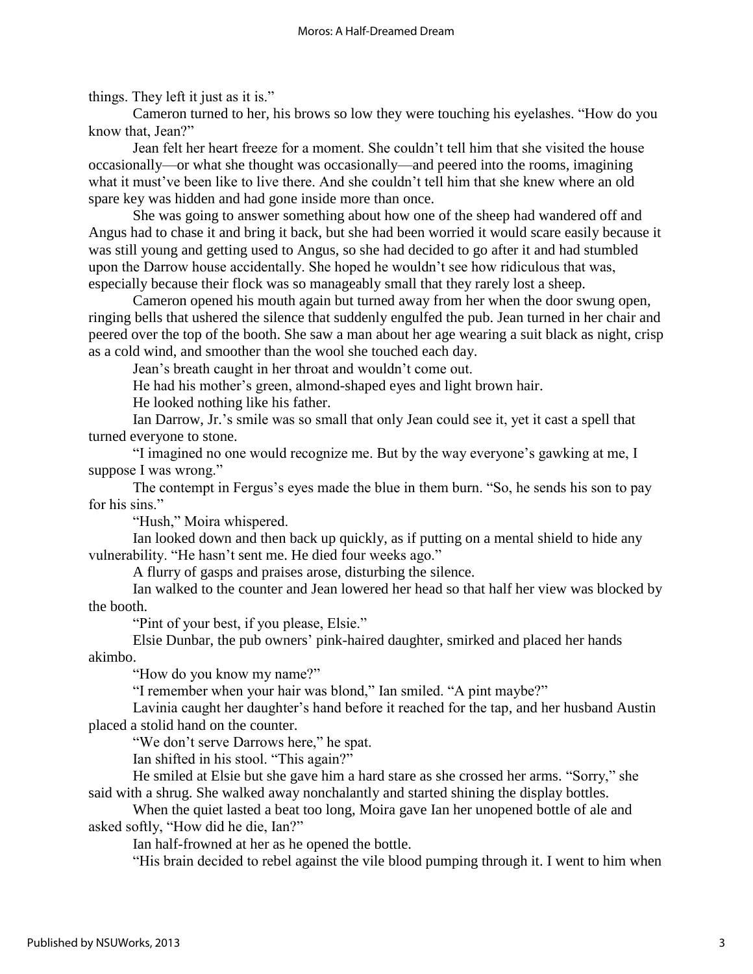things. They left it just as it is."

Cameron turned to her, his brows so low they were touching his eyelashes. "How do you know that, Jean?"

Jean felt her heart freeze for a moment. She couldn't tell him that she visited the house occasionally—or what she thought was occasionally—and peered into the rooms, imagining what it must've been like to live there. And she couldn't tell him that she knew where an old spare key was hidden and had gone inside more than once.

She was going to answer something about how one of the sheep had wandered off and Angus had to chase it and bring it back, but she had been worried it would scare easily because it was still young and getting used to Angus, so she had decided to go after it and had stumbled upon the Darrow house accidentally. She hoped he wouldn't see how ridiculous that was, especially because their flock was so manageably small that they rarely lost a sheep.

Cameron opened his mouth again but turned away from her when the door swung open, ringing bells that ushered the silence that suddenly engulfed the pub. Jean turned in her chair and peered over the top of the booth. She saw a man about her age wearing a suit black as night, crisp as a cold wind, and smoother than the wool she touched each day.

Jean's breath caught in her throat and wouldn't come out.

He had his mother's green, almond-shaped eyes and light brown hair.

He looked nothing like his father.

Ian Darrow, Jr.'s smile was so small that only Jean could see it, yet it cast a spell that turned everyone to stone.

"I imagined no one would recognize me. But by the way everyone's gawking at me, I suppose I was wrong."

The contempt in Fergus's eyes made the blue in them burn. "So, he sends his son to pay for his sins."

"Hush," Moira whispered.

Ian looked down and then back up quickly, as if putting on a mental shield to hide any vulnerability. "He hasn't sent me. He died four weeks ago."

A flurry of gasps and praises arose, disturbing the silence.

Ian walked to the counter and Jean lowered her head so that half her view was blocked by the booth.

"Pint of your best, if you please, Elsie."

Elsie Dunbar, the pub owners' pink-haired daughter, smirked and placed her hands akimbo.

"How do you know my name?"

"I remember when your hair was blond," Ian smiled. "A pint maybe?"

Lavinia caught her daughter's hand before it reached for the tap, and her husband Austin placed a stolid hand on the counter.

"We don't serve Darrows here," he spat.

Ian shifted in his stool. "This again?"

He smiled at Elsie but she gave him a hard stare as she crossed her arms. "Sorry," she said with a shrug. She walked away nonchalantly and started shining the display bottles.

When the quiet lasted a beat too long, Moira gave Ian her unopened bottle of ale and asked softly, "How did he die, Ian?"

Ian half-frowned at her as he opened the bottle.

"His brain decided to rebel against the vile blood pumping through it. I went to him when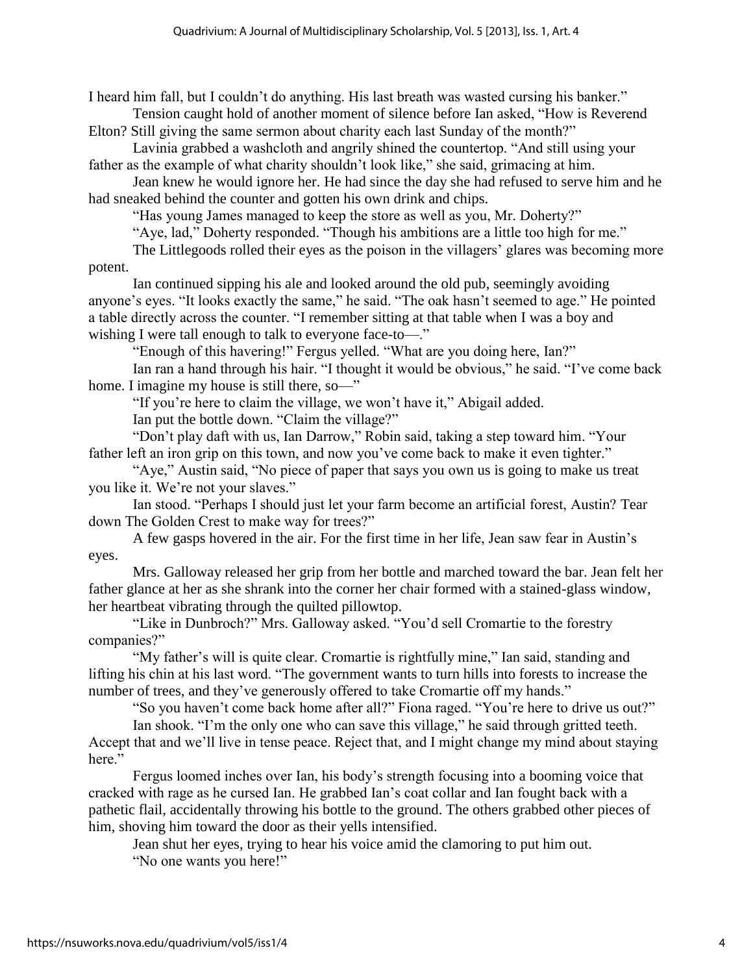I heard him fall, but I couldn't do anything. His last breath was wasted cursing his banker." Tension caught hold of another moment of silence before Ian asked, "How is Reverend

Elton? Still giving the same sermon about charity each last Sunday of the month?"

Lavinia grabbed a washcloth and angrily shined the countertop. "And still using your father as the example of what charity shouldn't look like," she said, grimacing at him.

Jean knew he would ignore her. He had since the day she had refused to serve him and he had sneaked behind the counter and gotten his own drink and chips.

"Has young James managed to keep the store as well as you, Mr. Doherty?"

"Aye, lad," Doherty responded. "Though his ambitions are a little too high for me."

The Littlegoods rolled their eyes as the poison in the villagers' glares was becoming more potent.

Ian continued sipping his ale and looked around the old pub, seemingly avoiding anyone's eyes. "It looks exactly the same," he said. "The oak hasn't seemed to age." He pointed a table directly across the counter. "I remember sitting at that table when I was a boy and wishing I were tall enough to talk to everyone face-to-"

"Enough of this havering!" Fergus yelled. "What are you doing here, Ian?"

Ian ran a hand through his hair. "I thought it would be obvious," he said. "I've come back home. I imagine my house is still there, so-"

"If you're here to claim the village, we won't have it," Abigail added.

Ian put the bottle down. "Claim the village?"

"Don't play daft with us, Ian Darrow," Robin said, taking a step toward him. "Your father left an iron grip on this town, and now you've come back to make it even tighter."

"Aye," Austin said, "No piece of paper that says you own us is going to make us treat you like it. We're not your slaves."

Ian stood. "Perhaps I should just let your farm become an artificial forest, Austin? Tear down The Golden Crest to make way for trees?"

A few gasps hovered in the air. For the first time in her life, Jean saw fear in Austin's eyes.

Mrs. Galloway released her grip from her bottle and marched toward the bar. Jean felt her father glance at her as she shrank into the corner her chair formed with a stained-glass window, her heartbeat vibrating through the quilted pillowtop.

"Like in Dunbroch?" Mrs. Galloway asked. "You'd sell Cromartie to the forestry companies?"

"My father's will is quite clear. Cromartie is rightfully mine," Ian said, standing and lifting his chin at his last word. "The government wants to turn hills into forests to increase the number of trees, and they've generously offered to take Cromartie off my hands."

"So you haven't come back home after all?" Fiona raged. "You're here to drive us out?"

Ian shook. "I'm the only one who can save this village," he said through gritted teeth. Accept that and we'll live in tense peace. Reject that, and I might change my mind about staying here."

Fergus loomed inches over Ian, his body's strength focusing into a booming voice that cracked with rage as he cursed Ian. He grabbed Ian's coat collar and Ian fought back with a pathetic flail, accidentally throwing his bottle to the ground. The others grabbed other pieces of him, shoving him toward the door as their yells intensified.

Jean shut her eyes, trying to hear his voice amid the clamoring to put him out. "No one wants you here!"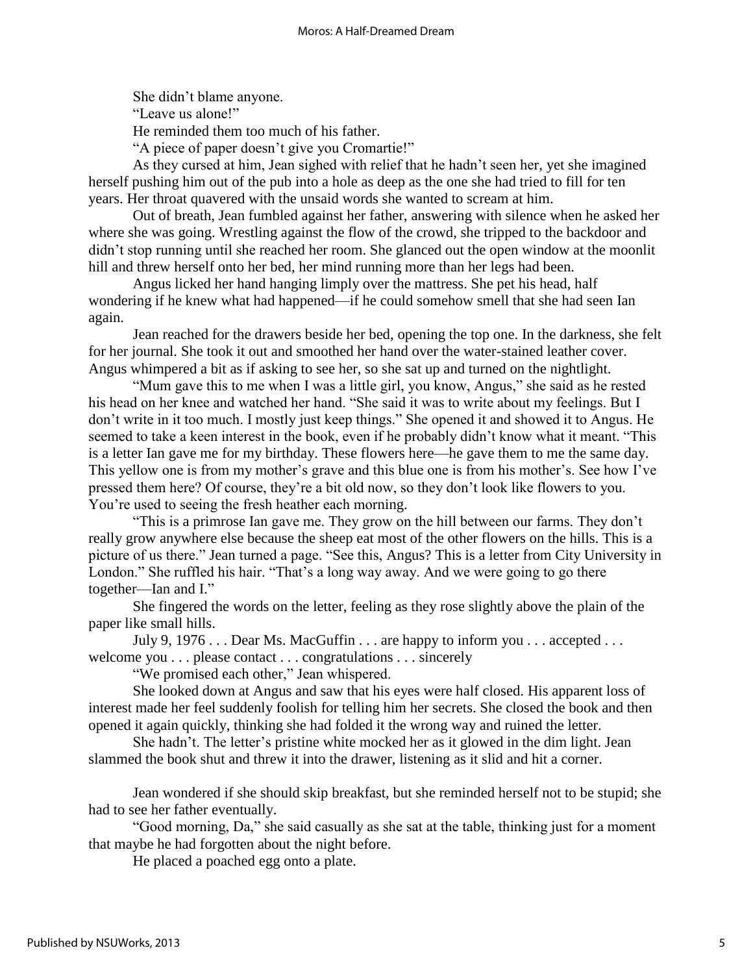She didn't blame anyone. "Leave us alone!" He reminded them too much of his father. "A piece of paper doesn't give you Cromartie!"

As they cursed at him, Jean sighed with relief that he hadn't seen her, yet she imagined herself pushing him out of the pub into a hole as deep as the one she had tried to fill for ten years. Her throat quavered with the unsaid words she wanted to scream at him.

Out of breath, Jean fumbled against her father, answering with silence when he asked her where she was going. Wrestling against the flow of the crowd, she tripped to the backdoor and didn't stop running until she reached her room. She glanced out the open window at the moonlit hill and threw herself onto her bed, her mind running more than her legs had been.

Angus licked her hand hanging limply over the mattress. She pet his head, half wondering if he knew what had happened—if he could somehow smell that she had seen Ian again.

Jean reached for the drawers beside her bed, opening the top one. In the darkness, she felt for her journal. She took it out and smoothed her hand over the water-stained leather cover. Angus whimpered a bit as if asking to see her, so she sat up and turned on the nightlight.

"Mum gave this to me when I was a little girl, you know, Angus," she said as he rested his head on her knee and watched her hand. "She said it was to write about my feelings. But I don't write in it too much. I mostly just keep things." She opened it and showed it to Angus. He seemed to take a keen interest in the book, even if he probably didn't know what it meant. "This is a letter Ian gave me for my birthday. These flowers here—he gave them to me the same day. This yellow one is from my mother's grave and this blue one is from his mother's. See how I've pressed them here? Of course, they're a bit old now, so they don't look like flowers to you. You're used to seeing the fresh heather each morning.

"This is a primrose Ian gave me. They grow on the hill between our farms. They don't really grow anywhere else because the sheep eat most of the other flowers on the hills. This is a picture of us there." Jean turned a page. "See this, Angus? This is a letter from City University in London." She ruffled his hair. "That's a long way away. And we were going to go there together—Ian and I."

She fingered the words on the letter, feeling as they rose slightly above the plain of the paper like small hills.

July 9, 1976 . . . Dear Ms. MacGuffin . . . are happy to inform you . . . accepted . . . welcome you . . . please contact . . . congratulations . . . sincerely

"We promised each other," Jean whispered.

She looked down at Angus and saw that his eyes were half closed. His apparent loss of interest made her feel suddenly foolish for telling him her secrets. She closed the book and then opened it again quickly, thinking she had folded it the wrong way and ruined the letter.

She hadn't. The letter's pristine white mocked her as it glowed in the dim light. Jean slammed the book shut and threw it into the drawer, listening as it slid and hit a corner.

Jean wondered if she should skip breakfast, but she reminded herself not to be stupid; she had to see her father eventually.

"Good morning, Da," she said casually as she sat at the table, thinking just for a moment that maybe he had forgotten about the night before.

He placed a poached egg onto a plate.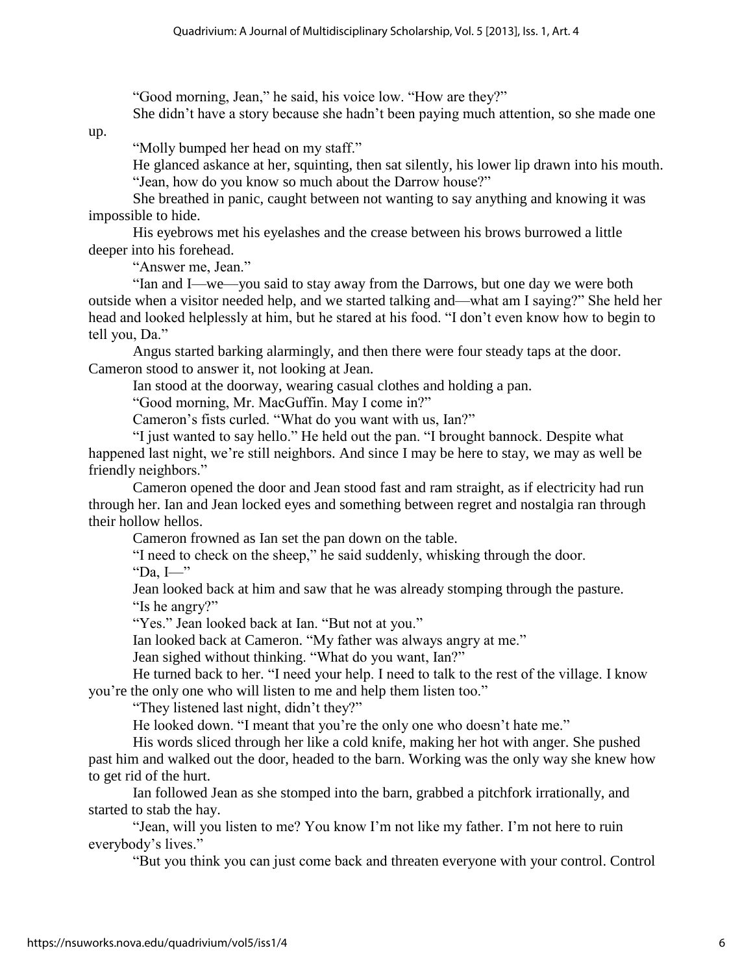"Good morning, Jean," he said, his voice low. "How are they?"

She didn't have a story because she hadn't been paying much attention, so she made one

up.

"Molly bumped her head on my staff."

He glanced askance at her, squinting, then sat silently, his lower lip drawn into his mouth. "Jean, how do you know so much about the Darrow house?"

She breathed in panic, caught between not wanting to say anything and knowing it was impossible to hide.

His eyebrows met his eyelashes and the crease between his brows burrowed a little deeper into his forehead.

"Answer me, Jean."

"Ian and I—we—you said to stay away from the Darrows, but one day we were both outside when a visitor needed help, and we started talking and—what am I saying?" She held her head and looked helplessly at him, but he stared at his food. "I don't even know how to begin to tell you, Da."

Angus started barking alarmingly, and then there were four steady taps at the door. Cameron stood to answer it, not looking at Jean.

Ian stood at the doorway, wearing casual clothes and holding a pan.

"Good morning, Mr. MacGuffin. May I come in?"

Cameron's fists curled. "What do you want with us, Ian?"

"I just wanted to say hello." He held out the pan. "I brought bannock. Despite what happened last night, we're still neighbors. And since I may be here to stay, we may as well be friendly neighbors."

Cameron opened the door and Jean stood fast and ram straight, as if electricity had run through her. Ian and Jean locked eyes and something between regret and nostalgia ran through their hollow hellos.

Cameron frowned as Ian set the pan down on the table.

"I need to check on the sheep," he said suddenly, whisking through the door.

"Da,  $I$ —"

Jean looked back at him and saw that he was already stomping through the pasture. "Is he angry?"

"Yes." Jean looked back at Ian. "But not at you."

Ian looked back at Cameron. "My father was always angry at me."

Jean sighed without thinking. "What do you want, Ian?"

He turned back to her. "I need your help. I need to talk to the rest of the village. I know you're the only one who will listen to me and help them listen too."

"They listened last night, didn't they?"

He looked down. "I meant that you're the only one who doesn't hate me."

His words sliced through her like a cold knife, making her hot with anger. She pushed past him and walked out the door, headed to the barn. Working was the only way she knew how to get rid of the hurt.

Ian followed Jean as she stomped into the barn, grabbed a pitchfork irrationally, and started to stab the hay.

"Jean, will you listen to me? You know I'm not like my father. I'm not here to ruin everybody's lives."

"But you think you can just come back and threaten everyone with your control. Control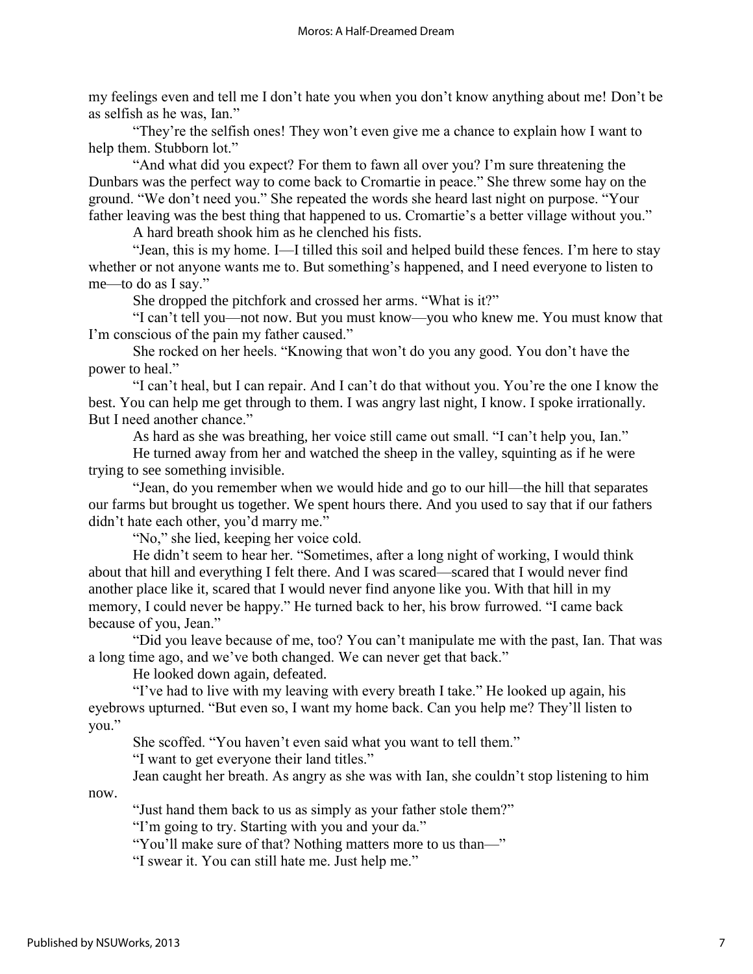my feelings even and tell me I don't hate you when you don't know anything about me! Don't be as selfish as he was, Ian."

"They're the selfish ones! They won't even give me a chance to explain how I want to help them. Stubborn lot."

"And what did you expect? For them to fawn all over you? I'm sure threatening the Dunbars was the perfect way to come back to Cromartie in peace." She threw some hay on the ground. "We don't need you." She repeated the words she heard last night on purpose. "Your father leaving was the best thing that happened to us. Cromartie's a better village without you."

A hard breath shook him as he clenched his fists.

"Jean, this is my home. I—I tilled this soil and helped build these fences. I'm here to stay whether or not anyone wants me to. But something's happened, and I need everyone to listen to me—to do as I say."

She dropped the pitchfork and crossed her arms. "What is it?"

"I can't tell you—not now. But you must know—you who knew me. You must know that I'm conscious of the pain my father caused."

She rocked on her heels. "Knowing that won't do you any good. You don't have the power to heal."

"I can't heal, but I can repair. And I can't do that without you. You're the one I know the best. You can help me get through to them. I was angry last night, I know. I spoke irrationally. But I need another chance."

As hard as she was breathing, her voice still came out small. "I can't help you, Ian."

He turned away from her and watched the sheep in the valley, squinting as if he were trying to see something invisible.

"Jean, do you remember when we would hide and go to our hill—the hill that separates our farms but brought us together. We spent hours there. And you used to say that if our fathers didn't hate each other, you'd marry me."

"No," she lied, keeping her voice cold.

He didn't seem to hear her. "Sometimes, after a long night of working, I would think about that hill and everything I felt there. And I was scared—scared that I would never find another place like it, scared that I would never find anyone like you. With that hill in my memory, I could never be happy." He turned back to her, his brow furrowed. "I came back because of you, Jean."

"Did you leave because of me, too? You can't manipulate me with the past, Ian. That was a long time ago, and we've both changed. We can never get that back."

He looked down again, defeated.

"I've had to live with my leaving with every breath I take." He looked up again, his eyebrows upturned. "But even so, I want my home back. Can you help me? They'll listen to you."

She scoffed. "You haven't even said what you want to tell them."

"I want to get everyone their land titles."

Jean caught her breath. As angry as she was with Ian, she couldn't stop listening to him

now.

"Just hand them back to us as simply as your father stole them?"

"I'm going to try. Starting with you and your da."

"You'll make sure of that? Nothing matters more to us than—"

"I swear it. You can still hate me. Just help me."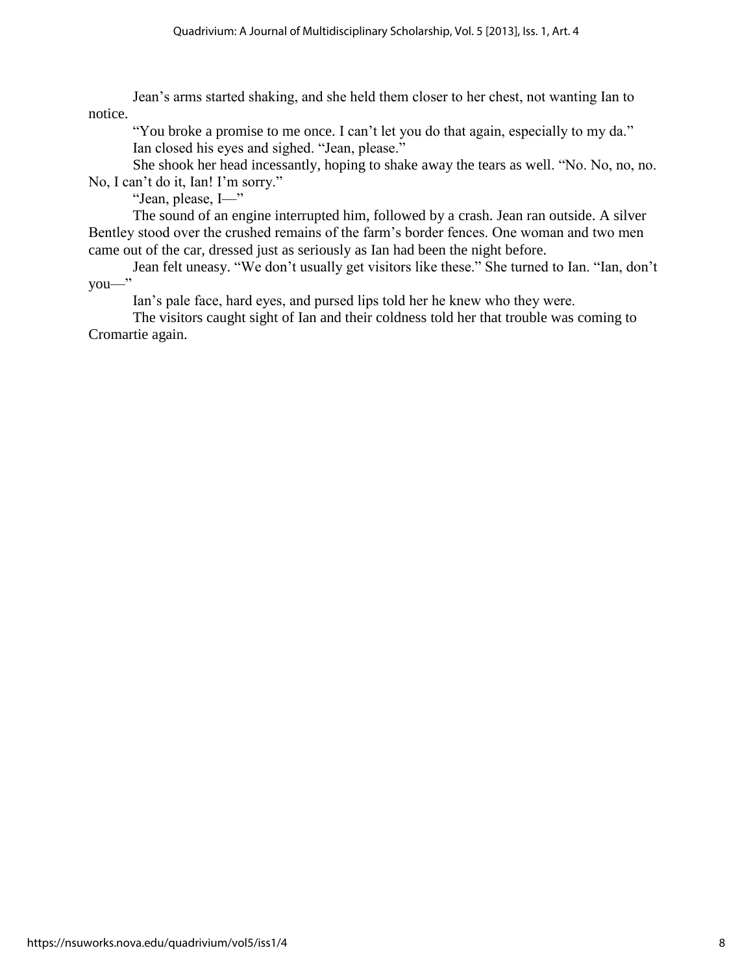Jean's arms started shaking, and she held them closer to her chest, not wanting Ian to notice.

"You broke a promise to me once. I can't let you do that again, especially to my da." Ian closed his eyes and sighed. "Jean, please."

She shook her head incessantly, hoping to shake away the tears as well. "No. No, no, no. No, I can't do it, Ian! I'm sorry."

"Jean, please, I—"

The sound of an engine interrupted him, followed by a crash. Jean ran outside. A silver Bentley stood over the crushed remains of the farm's border fences. One woman and two men came out of the car, dressed just as seriously as Ian had been the night before.

Jean felt uneasy. "We don't usually get visitors like these." She turned to Ian. "Ian, don't you—"

Ian's pale face, hard eyes, and pursed lips told her he knew who they were.

The visitors caught sight of Ian and their coldness told her that trouble was coming to Cromartie again.